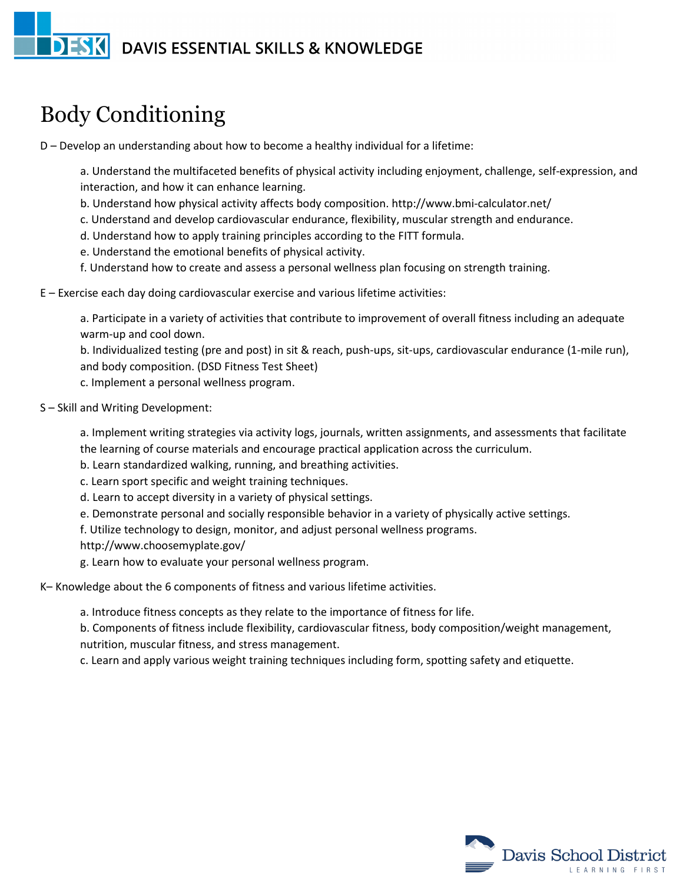## **DESK** DAVIS ESSENTIAL SKILLS & KNOWLEDGE

## Body Conditioning

D – Develop an understanding about how to become a healthy individual for a lifetime:

a. Understand the multifaceted benefits of physical activity including enjoyment, challenge, self-expression, and interaction, and how it can enhance learning.

- b. Understand how physical activity affects body composition. http://www.bmi-calculator.net/
- c. Understand and develop cardiovascular endurance, flexibility, muscular strength and endurance.
- d. Understand how to apply training principles according to the FITT formula.
- e. Understand the emotional benefits of physical activity.
- f. Understand how to create and assess a personal wellness plan focusing on strength training.
- E Exercise each day doing cardiovascular exercise and various lifetime activities:

a. Participate in a variety of activities that contribute to improvement of overall fitness including an adequate warm-up and cool down.

b. Individualized testing (pre and post) in sit & reach, push-ups, sit-ups, cardiovascular endurance (1-mile run), and body composition. (DSD Fitness Test Sheet)

c. Implement a personal wellness program.

S – Skill and Writing Development:

a. Implement writing strategies via activity logs, journals, written assignments, and assessments that facilitate the learning of course materials and encourage practical application across the curriculum.

- b. Learn standardized walking, running, and breathing activities.
- c. Learn sport specific and weight training techniques.
- d. Learn to accept diversity in a variety of physical settings.
- e. Demonstrate personal and socially responsible behavior in a variety of physically active settings.

f. Utilize technology to design, monitor, and adjust personal wellness programs.

http://www.choosemyplate.gov/

g. Learn how to evaluate your personal wellness program.

## K– Knowledge about the 6 components of fitness and various lifetime activities.

a. Introduce fitness concepts as they relate to the importance of fitness for life.

b. Components of fitness include flexibility, cardiovascular fitness, body composition/weight management, nutrition, muscular fitness, and stress management.

c. Learn and apply various weight training techniques including form, spotting safety and etiquette.